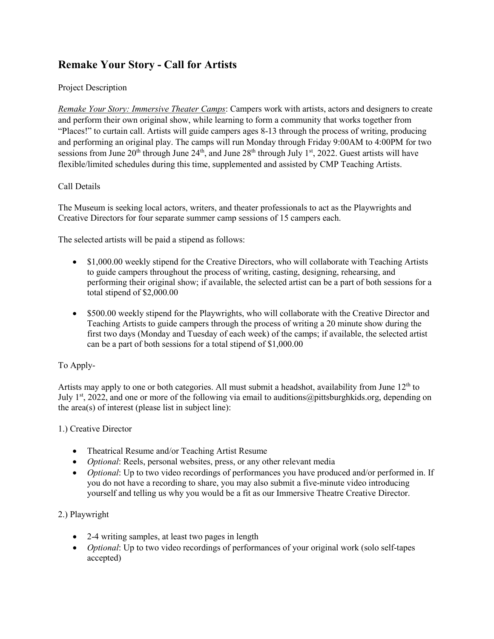# **Remake Your Story - Call for Artists**

# Project Description

*Remake Your Story: Immersive Theater Camps*: Campers work with artists, actors and designers to create and perform their own original show, while learning to form a community that works together from "Places!" to curtain call. Artists will guide campers ages 8-13 through the process of writing, producing and performing an original play. The camps will run Monday through Friday 9:00AM to 4:00PM for two sessions from June 20<sup>th</sup> through June 24<sup>th</sup>, and June 28<sup>th</sup> through July 1<sup>st</sup>, 2022. Guest artists will have flexible/limited schedules during this time, supplemented and assisted by CMP Teaching Artists.

# Call Details

The Museum is seeking local actors, writers, and theater professionals to act as the Playwrights and Creative Directors for four separate summer camp sessions of 15 campers each.

The selected artists will be paid a stipend as follows:

- \$1,000.00 weekly stipend for the Creative Directors, who will collaborate with Teaching Artists to guide campers throughout the process of writing, casting, designing, rehearsing, and performing their original show; if available, the selected artist can be a part of both sessions for a total stipend of \$2,000.00
- \$500.00 weekly stipend for the Playwrights, who will collaborate with the Creative Director and Teaching Artists to guide campers through the process of writing a 20 minute show during the first two days (Monday and Tuesday of each week) of the camps; if available, the selected artist can be a part of both sessions for a total stipend of \$1,000.00

### To Apply-

Artists may apply to one or both categories. All must submit a headshot, availability from June  $12<sup>th</sup>$  to July 1<sup>st</sup>, 2022, and one or more of the following via email to auditions @pittsburghkids.org, depending on the area(s) of interest (please list in subject line):

### 1.) Creative Director

- Theatrical Resume and/or Teaching Artist Resume
- *Optional*: Reels, personal websites, press, or any other relevant media
- *Optional*: Up to two video recordings of performances you have produced and/or performed in. If you do not have a recording to share, you may also submit a five-minute video introducing yourself and telling us why you would be a fit as our Immersive Theatre Creative Director.

### 2.) Playwright

- 2-4 writing samples, at least two pages in length
- *Optional*: Up to two video recordings of performances of your original work (solo self-tapes accepted)